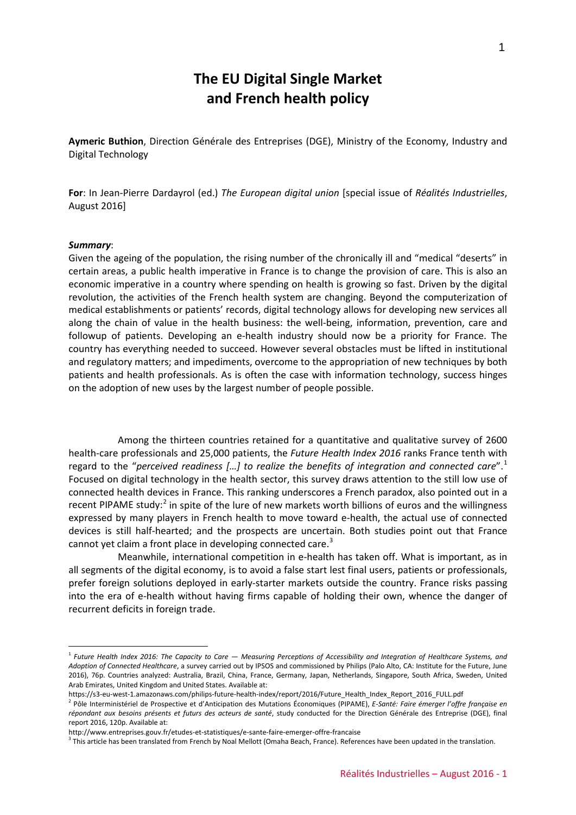# **The EU Digital Single Market and French health policy**

**Aymeric Buthion**, Direction Générale des Entreprises (DGE), Ministry of the Economy, Industry and Digital Technology

**For**: In Jean-Pierre Dardayrol (ed.) *The European digital union* [special issue of *Réalités Industrielles*, August 2016]

#### *Summary*:

<u>.</u>

Given the ageing of the population, the rising number of the chronically ill and "medical "deserts" in certain areas, a public health imperative in France is to change the provision of care. This is also an economic imperative in a country where spending on health is growing so fast. Driven by the digital revolution, the activities of the French health system are changing. Beyond the computerization of medical establishments or patients' records, digital technology allows for developing new services all along the chain of value in the health business: the well-being, information, prevention, care and followup of patients. Developing an e-health industry should now be a priority for France. The country has everything needed to succeed. However several obstacles must be lifted in institutional and regulatory matters; and impediments, overcome to the appropriation of new techniques by both patients and health professionals. As is often the case with information technology, success hinges on the adoption of new uses by the largest number of people possible.

Among the thirteen countries retained for a quantitative and qualitative survey of 2600 health-care professionals and 25,000 patients, the *Future Health Index 2016* ranks France tenth with regard to the "*perceived readiness […] to realize the benefits of integration and connected care*".[1](#page-0-0) Focused on digital technology in the health sector, this survey draws attention to the still low use of connected health devices in France. This ranking underscores a French paradox, also pointed out in a recent PIPAME study: $2$  in spite of the lure of new markets worth billions of euros and the willingness expressed by many players in French health to move toward e-health, the actual use of connected devices is still half-hearted; and the prospects are uncertain. Both studies point out that France cannot yet claim a front place in developing connected care.<sup>[3](#page-0-2)</sup>

Meanwhile, international competition in e-health has taken off. What is important, as in all segments of the digital economy, is to avoid a false start lest final users, patients or professionals, prefer foreign solutions deployed in early-starter markets outside the country. France risks passing into the era of e-health without having firms capable of holding their own, whence the danger of recurrent deficits in foreign trade.

<span id="page-0-0"></span><sup>1</sup> *Future Health Index 2016: The Capacity to Care — Measuring Perceptions of Accessibility and Integration of Healthcare Systems, and Adoption of Connected Healthcare*, a survey carried out by IPSOS and commissioned by Philips (Palo Alto, CA: Institute for the Future, June 2016), 76p. Countries analyzed: Australia, Brazil, China, France, Germany, Japan, Netherlands, Singapore, South Africa, Sweden, United Arab Emirates, United Kingdom and United States. Available at:

https://s3-eu-west-1.amazonaws.com/philips-future-health-index/report/2016/Future\_Health\_Index\_Report\_2016\_FULL.pdf

<span id="page-0-1"></span><sup>2</sup> Pôle Interministériel de Prospective et d'Anticipation des Mutations Économiques (PIPAME), *E-Santé: Faire émerger l'offre française en répondant aux besoins présents et futurs des acteurs de santé*, study conducted for the Direction Générale des Entreprise (DGE), final report 2016, 120p. Available at:

<span id="page-0-2"></span>http://www.entreprises.gouv.fr/etudes-et-statistiques/e-sante-faire-emerger-offre-francaise<br><sup>3</sup> This article has been translated from French by Noal Mellott (Omaha Beach, France). References have been updated in the transl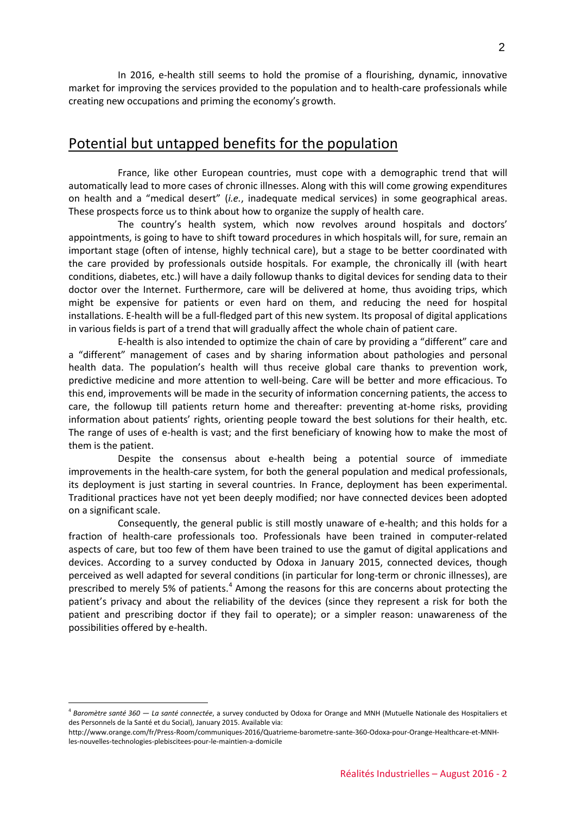In 2016, e-health still seems to hold the promise of a flourishing, dynamic, innovative market for improving the services provided to the population and to health-care professionals while creating new occupations and priming the economy's growth.

### Potential but untapped benefits for the population

France, like other European countries, must cope with a demographic trend that will automatically lead to more cases of chronic illnesses. Along with this will come growing expenditures on health and a "medical desert" (*i.e.*, inadequate medical services) in some geographical areas. These prospects force us to think about how to organize the supply of health care.

The country's health system, which now revolves around hospitals and doctors' appointments, is going to have to shift toward procedures in which hospitals will, for sure, remain an important stage (often of intense, highly technical care), but a stage to be better coordinated with the care provided by professionals outside hospitals. For example, the chronically ill (with heart conditions, diabetes, etc.) will have a daily followup thanks to digital devices for sending data to their doctor over the Internet. Furthermore, care will be delivered at home, thus avoiding trips, which might be expensive for patients or even hard on them, and reducing the need for hospital installations. E-health will be a full-fledged part of this new system. Its proposal of digital applications in various fields is part of a trend that will gradually affect the whole chain of patient care.

E-health is also intended to optimize the chain of care by providing a "different" care and a "different" management of cases and by sharing information about pathologies and personal health data. The population's health will thus receive global care thanks to prevention work, predictive medicine and more attention to well-being. Care will be better and more efficacious. To this end, improvements will be made in the security of information concerning patients, the access to care, the followup till patients return home and thereafter: preventing at-home risks, providing information about patients' rights, orienting people toward the best solutions for their health, etc. The range of uses of e-health is vast; and the first beneficiary of knowing how to make the most of them is the patient.

Despite the consensus about e-health being a potential source of immediate improvements in the health-care system, for both the general population and medical professionals, its deployment is just starting in several countries. In France, deployment has been experimental. Traditional practices have not yet been deeply modified; nor have connected devices been adopted on a significant scale.

Consequently, the general public is still mostly unaware of e-health; and this holds for a fraction of health-care professionals too. Professionals have been trained in computer-related aspects of care, but too few of them have been trained to use the gamut of digital applications and devices. According to a survey conducted by Odoxa in January 2015, connected devices, though perceived as well adapted for several conditions (in particular for long-term or chronic illnesses), are prescribed to merely 5% of patients.<sup>[4](#page-1-0)</sup> Among the reasons for this are concerns about protecting the patient's privacy and about the reliability of the devices (since they represent a risk for both the patient and prescribing doctor if they fail to operate); or a simpler reason: unawareness of the possibilities offered by e-health.

<u>.</u>

<span id="page-1-0"></span><sup>4</sup> *Baromètre santé 360 — La santé connectée*, a survey conducted by Odoxa for Orange and MNH (Mutuelle Nationale des Hospitaliers et des Personnels de la Santé et du Social), January 2015. Available via:

http://www.orange.com/fr/Press-Room/communiques-2016/Quatrieme-barometre-sante-360-Odoxa-pour-Orange-Healthcare-et-MNHles-nouvelles-technologies-plebiscitees-pour-le-maintien-a-domicile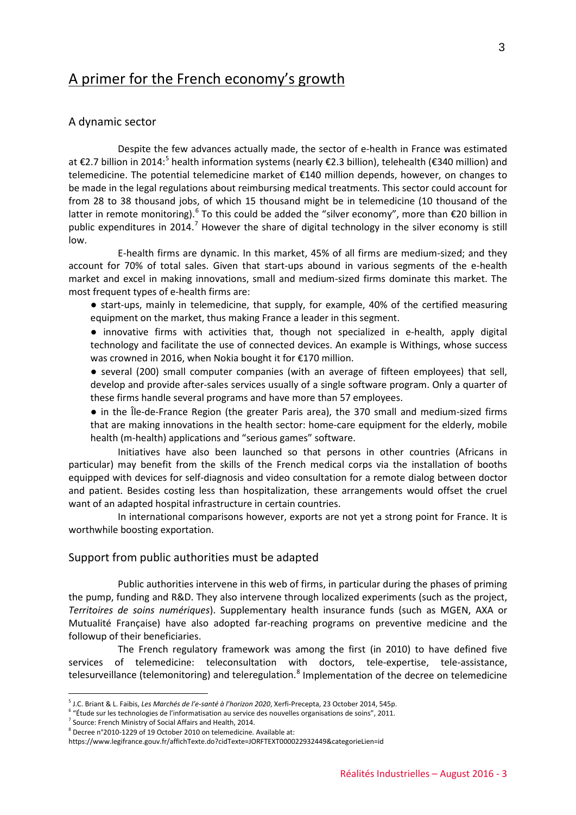## A primer for the French economy's growth

#### A dynamic sector

Despite the few advances actually made, the sector of e-health in France was estimated at €2.7 billion in 2014:<sup>[5](#page-2-0)</sup> health information systems (nearly €2.3 billion), telehealth (€340 million) and telemedicine. The potential telemedicine market of €140 million depends, however, on changes to be made in the legal regulations about reimbursing medical treatments. This sector could account for from 28 to 38 thousand jobs, of which 15 thousand might be in telemedicine (10 thousand of the latter in remote monitoring).<sup>[6](#page-2-1)</sup> To this could be added the "silver economy", more than €20 billion in public expenditures in 2014.<sup>[7](#page-2-2)</sup> However the share of digital technology in the silver economy is still low.

E-health firms are dynamic. In this market, 45% of all firms are medium-sized; and they account for 70% of total sales. Given that start-ups abound in various segments of the e-health market and excel in making innovations, small and medium-sized firms dominate this market. The most frequent types of e-health firms are:

● start-ups, mainly in telemedicine, that supply, for example, 40% of the certified measuring equipment on the market, thus making France a leader in this segment.

● innovative firms with activities that, though not specialized in e-health, apply digital technology and facilitate the use of connected devices. An example is Withings, whose success was crowned in 2016, when Nokia bought it for €170 million.

● several (200) small computer companies (with an average of fifteen employees) that sell, develop and provide after-sales services usually of a single software program. Only a quarter of these firms handle several programs and have more than 57 employees.

● in the Île-de-France Region (the greater Paris area), the 370 small and medium-sized firms that are making innovations in the health sector: home-care equipment for the elderly, mobile health (m-health) applications and "serious games" software.

Initiatives have also been launched so that persons in other countries (Africans in particular) may benefit from the skills of the French medical corps via the installation of booths equipped with devices for self-diagnosis and video consultation for a remote dialog between doctor and patient. Besides costing less than hospitalization, these arrangements would offset the cruel want of an adapted hospital infrastructure in certain countries.

In international comparisons however, exports are not yet a strong point for France. It is worthwhile boosting exportation.

#### Support from public authorities must be adapted

Public authorities intervene in this web of firms, in particular during the phases of priming the pump, funding and R&D. They also intervene through localized experiments (such as the project, *Territoires de soins numériques*). Supplementary health insurance funds (such as MGEN, AXA or Mutualité Française) have also adopted far-reaching programs on preventive medicine and the followup of their beneficiaries.

The French regulatory framework was among the first (in 2010) to have defined five services of telemedicine: teleconsultation with doctors, tele-expertise, tele-assistance, telesurveillance (telemonitoring) and teleregulation.<sup>[8](#page-2-3)</sup> Implementation of the decree on telemedicine

<u>.</u>

<span id="page-2-0"></span><sup>5</sup> J.C. Briant & L. Faibis, *Les Marchés de l'e-santé à l'horizon 2020*, Xerfi-Precepta, 23 October 2014, 545p.

<span id="page-2-1"></span> $6$  "Étude sur les technologies de l'informatisation au service des nouvelles organisations de soins", 2011.

<span id="page-2-2"></span> $^7$  Source: French Ministry of Social Affairs and Health, 2014.

<span id="page-2-3"></span><sup>8</sup> Decree n°2010-1229 of 19 October 2010 on telemedicine. Available at:

https://www.legifrance.gouv.fr/affichTexte.do?cidTexte=JORFTEXT000022932449&categorieLien=id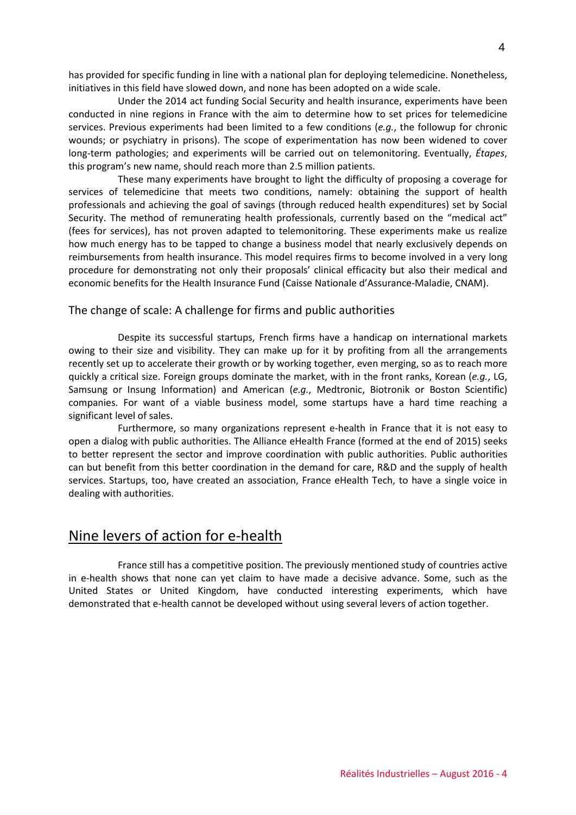has provided for specific funding in line with a national plan for deploying telemedicine. Nonetheless, initiatives in this field have slowed down, and none has been adopted on a wide scale.

Under the 2014 act funding Social Security and health insurance, experiments have been conducted in nine regions in France with the aim to determine how to set prices for telemedicine services. Previous experiments had been limited to a few conditions (*e.g.*, the followup for chronic wounds; or psychiatry in prisons). The scope of experimentation has now been widened to cover long-term pathologies; and experiments will be carried out on telemonitoring. Eventually, *Étapes*, this program's new name, should reach more than 2.5 million patients.

These many experiments have brought to light the difficulty of proposing a coverage for services of telemedicine that meets two conditions, namely: obtaining the support of health professionals and achieving the goal of savings (through reduced health expenditures) set by Social Security. The method of remunerating health professionals, currently based on the "medical act" (fees for services), has not proven adapted to telemonitoring. These experiments make us realize how much energy has to be tapped to change a business model that nearly exclusively depends on reimbursements from health insurance. This model requires firms to become involved in a very long procedure for demonstrating not only their proposals' clinical efficacity but also their medical and economic benefits for the Health Insurance Fund (Caisse Nationale d'Assurance-Maladie, CNAM).

### The change of scale: A challenge for firms and public authorities

Despite its successful startups, French firms have a handicap on international markets owing to their size and visibility. They can make up for it by profiting from all the arrangements recently set up to accelerate their growth or by working together, even merging, so as to reach more quickly a critical size. Foreign groups dominate the market, with in the front ranks, Korean (*e.g.*, LG, Samsung or Insung Information) and American (*e.g.*, Medtronic, Biotronik or Boston Scientific) companies. For want of a viable business model, some startups have a hard time reaching a significant level of sales.

Furthermore, so many organizations represent e-health in France that it is not easy to open a dialog with public authorities. The Alliance eHealth France (formed at the end of 2015) seeks to better represent the sector and improve coordination with public authorities. Public authorities can but benefit from this better coordination in the demand for care, R&D and the supply of health services. Startups, too, have created an association, France eHealth Tech, to have a single voice in dealing with authorities.

### Nine levers of action for e-health

France still has a competitive position. The previously mentioned study of countries active in e-health shows that none can yet claim to have made a decisive advance. Some, such as the United States or United Kingdom, have conducted interesting experiments, which have demonstrated that e-health cannot be developed without using several levers of action together.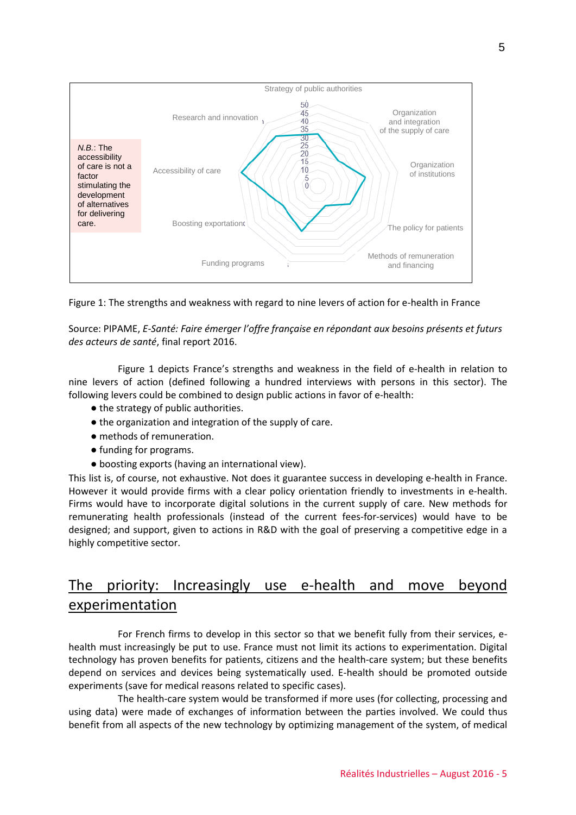

Figure 1: The strengths and weakness with regard to nine levers of action for e-health in France

Source: PIPAME, *E-Santé: Faire émerger l'offre française en répondant aux besoins présents et futurs des acteurs de santé*, final report 2016.

Figure 1 depicts France's strengths and weakness in the field of e-health in relation to nine levers of action (defined following a hundred interviews with persons in this sector). The following levers could be combined to design public actions in favor of e-health:

- the strategy of public authorities.
- the organization and integration of the supply of care.
- methods of remuneration.
- funding for programs.
- boosting exports (having an international view).

This list is, of course, not exhaustive. Not does it guarantee success in developing e-health in France. However it would provide firms with a clear policy orientation friendly to investments in e-health. Firms would have to incorporate digital solutions in the current supply of care. New methods for remunerating health professionals (instead of the current fees-for-services) would have to be designed; and support, given to actions in R&D with the goal of preserving a competitive edge in a highly competitive sector.

# The priority: Increasingly use e-health and move beyond experimentation

For French firms to develop in this sector so that we benefit fully from their services, ehealth must increasingly be put to use. France must not limit its actions to experimentation. Digital technology has proven benefits for patients, citizens and the health-care system; but these benefits depend on services and devices being systematically used. E-health should be promoted outside experiments (save for medical reasons related to specific cases).

The health-care system would be transformed if more uses (for collecting, processing and using data) were made of exchanges of information between the parties involved. We could thus benefit from all aspects of the new technology by optimizing management of the system, of medical